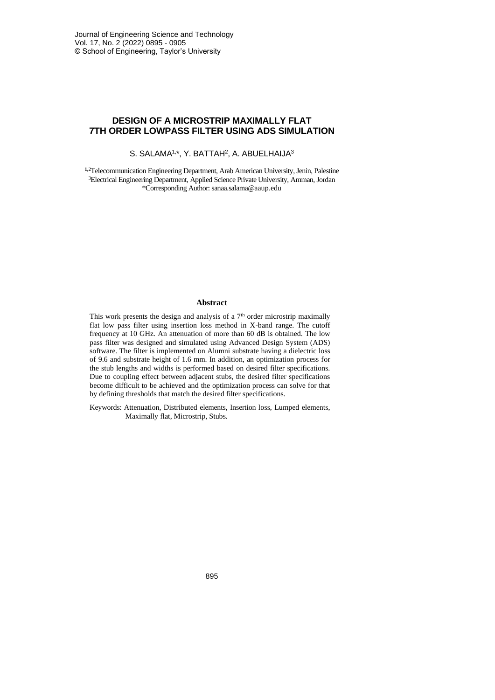# **DESIGN OF A MICROSTRIP MAXIMALLY FLAT 7TH ORDER LOWPASS FILTER USING ADS SIMULATION**

S. SALAMA<sup>1,\*</sup>, Y. BATTAH<sup>2</sup>, A. ABUELHAIJA<sup>3</sup>

**1,**<sup>2</sup>Telecommunication Engineering Department, Arab American University, Jenin, Palestine <sup>3</sup>Electrical Engineering Department, Applied Science Private University, Amman, Jordan \*Corresponding Author: sanaa.salama@aaup.edu

#### **Abstract**

This work presents the design and analysis of a  $7<sup>th</sup>$  order microstrip maximally flat low pass filter using insertion loss method in X-band range. The cutoff frequency at 10 GHz. An attenuation of more than 60 dB is obtained. The low pass filter was designed and simulated using Advanced Design System (ADS) software. The filter is implemented on Alumni substrate having a dielectric loss of 9.6 and substrate height of 1.6 mm. In addition, an optimization process for the stub lengths and widths is performed based on desired filter specifications. Due to coupling effect between adjacent stubs, the desired filter specifications become difficult to be achieved and the optimization process can solve for that by defining thresholds that match the desired filter specifications.

Keywords: Attenuation, Distributed elements, Insertion loss, Lumped elements, Maximally flat, Microstrip, Stubs.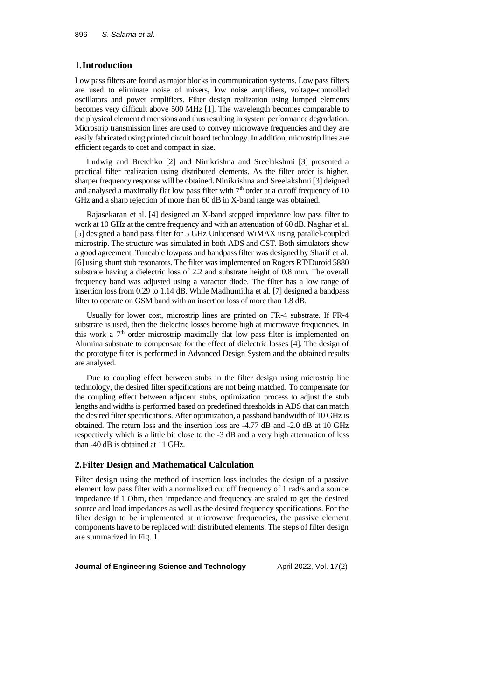# **1.Introduction**

Low pass filters are found as major blocks in communication systems. Low pass filters are used to eliminate noise of mixers, low noise amplifiers, voltage-controlled oscillators and power amplifiers. Filter design realization using lumped elements becomes very difficult above 500 MHz [1]. The wavelength becomes comparable to the physical element dimensions and thus resulting in system performance degradation. Microstrip transmission lines are used to convey microwave frequencies and they are easily fabricated using printed circuit board technology. In addition, microstrip lines are efficient regards to cost and compact in size.

Ludwig and Bretchko [2] and Ninikrishna and Sreelakshmi [3] presented a practical filter realization using distributed elements. As the filter order is higher, sharper frequency response will be obtained. Ninikrishna and Sreelakshmi [3] deigned and analysed a maximally flat low pass filter with  $7<sup>th</sup>$  order at a cutoff frequency of 10 GHz and a sharp rejection of more than 60 dB in X-band range was obtained.

Rajasekaran et al. [4] designed an X-band stepped impedance low pass filter to work at 10 GHz at the centre frequency and with an attenuation of 60 dB. Naghar et al. [5] designed a band pass filter for 5 GHz Unlicensed WiMAX using parallel-coupled microstrip. The structure was simulated in both ADS and CST. Both simulators show a good agreement. Tuneable lowpass and bandpass filter was designed by Sharif et al. [6] using shunt stub resonators. The filter was implemented on Rogers RT/Duroid 5880 substrate having a dielectric loss of 2.2 and substrate height of 0.8 mm. The overall frequency band was adjusted using a varactor diode. The filter has a low range of insertion loss from 0.29 to 1.14 dB. While Madhumitha et al. [7] designed a bandpass filter to operate on GSM band with an insertion loss of more than 1.8 dB.

Usually for lower cost, microstrip lines are printed on FR-4 substrate. If FR-4 substrate is used, then the dielectric losses become high at microwave frequencies. In this work a  $7<sup>th</sup>$  order microstrip maximally flat low pass filter is implemented on Alumina substrate to compensate for the effect of dielectric losses [4]. The design of the prototype filter is performed in Advanced Design System and the obtained results are analysed.

Due to coupling effect between stubs in the filter design using microstrip line technology, the desired filter specifications are not being matched. To compensate for the coupling effect between adjacent stubs, optimization process to adjust the stub lengths and widths is performed based on predefined thresholds in ADS that can match the desired filter specifications. After optimization, a passband bandwidth of 10 GHz is obtained. The return loss and the insertion loss are -4.77 dB and -2.0 dB at 10 GHz respectively which is a little bit close to the -3 dB and a very high attenuation of less than -40 dB is obtained at 11 GHz.

### **2.Filter Design and Mathematical Calculation**

Filter design using the method of insertion loss includes the design of a passive element low pass filter with a normalized cut off frequency of 1 rad/s and a source impedance if 1 Ohm, then impedance and frequency are scaled to get the desired source and load impedances as well as the desired frequency specifications. For the filter design to be implemented at microwave frequencies, the passive element components have to be replaced with distributed elements. The steps of filter design are summarized in Fig. 1.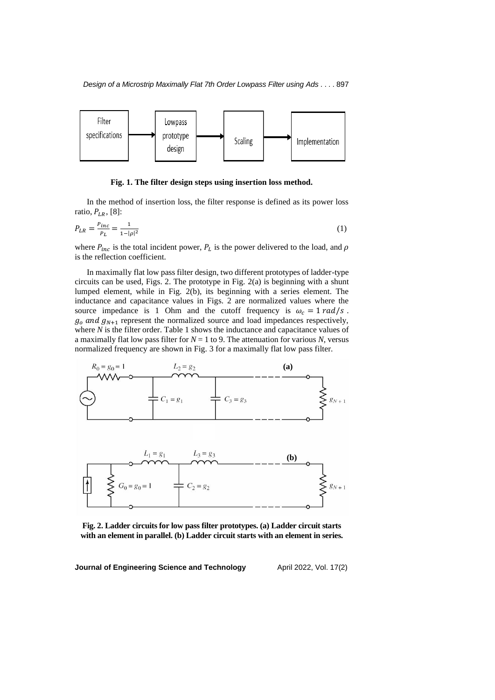

### **Fig. 1. The filter design steps using insertion loss method.**

In the method of insertion loss, the filter response is defined as its power loss ratio,  $P_{LR}$ , [8]:

$$
P_{LR} = \frac{P_{inc}}{P_L} = \frac{1}{1 - |\rho|^2} \tag{1}
$$

where  $P_{inc}$  is the total incident power,  $P_L$  is the power delivered to the load, and  $\rho$ is the reflection coefficient.

In maximally flat low pass filter design, two different prototypes of ladder-type circuits can be used, Figs. 2. The prototype in Fig. 2(a) is beginning with a shunt lumped element, while in Fig. 2(b), its beginning with a series element. The inductance and capacitance values in Figs. 2 are normalized values where the source impedance is 1 Ohm and the cutoff frequency is  $\omega_c = 1 rad/s$ .  $g_0$  and  $g_{N+1}$  represent the normalized source and load impedances respectively, where *N* is the filter order. Table 1 shows the inductance and capacitance values of a maximally flat low pass filter for  $N = 1$  to 9. The attenuation for various N, versus normalized frequency are shown in Fig. 3 for a maximally flat low pass filter.



**Fig. 2. Ladder circuits for low pass filter prototypes. (a) Ladder circuit starts with an element in parallel. (b) Ladder circuit starts with an element in series.**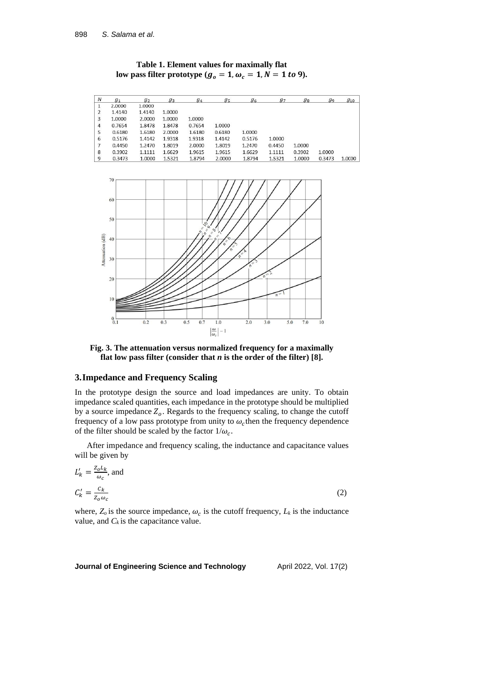**Table 1. Element values for maximally flat**  low pass filter prototype ( $g_o = 1$ ,  $\omega_c = 1$ ,  $N = 1$  to 9).

| $\boldsymbol{N}$ | $g_1$  | g <sub>2</sub> | $g_3$  | $g_4$  | $g_{5}$ | 96     | $g_7$  | $g_8$  | g <sub>9</sub> | $g_{10}$ |
|------------------|--------|----------------|--------|--------|---------|--------|--------|--------|----------------|----------|
|                  | 2.0000 | 1.0000         |        |        |         |        |        |        |                |          |
|                  | 1.4140 | 1.4140         | 1.0000 |        |         |        |        |        |                |          |
| 3                | 1.0000 | 2.0000         | 1.0000 | 1.0000 |         |        |        |        |                |          |
| $\overline{4}$   | 0.7654 | 1.8478         | 1.8478 | 0.7654 | 1.0000  |        |        |        |                |          |
| 5                | 0.6180 | 1.6180         | 2.0000 | 1.6180 | 0.6180  | 1.0000 |        |        |                |          |
| 6                | 0.5176 | 1.4142         | 1.9318 | 1.9318 | 1.4142  | 0.5176 | 1.0000 |        |                |          |
|                  | 0.4450 | 1.2470         | 1.8019 | 2.0000 | 1.8019  | 1.2470 | 0.4450 | 1.0000 |                |          |
| 8                | 0.3902 | 1.1111         | 1.6629 | 1.9615 | 1.9615  | 1.6629 | 1.1111 | 0.3902 | 1.0000         |          |
| 9                | 0.3473 | 1.0000         | 1.5321 | 1.8794 | 2.0000  | 1.8794 | 1.5321 | 1.0000 | 0.3473         | 1.0000   |



**Fig. 3. The attenuation versus normalized frequency for a maximally flat low pass filter (consider that** *n* **is the order of the filter) [8].**

# **3.Impedance and Frequency Scaling**

In the prototype design the source and load impedances are unity. To obtain impedance scaled quantities, each impedance in the prototype should be multiplied by a source impedance  $Z_o$ . Regards to the frequency scaling, to change the cutoff frequency of a low pass prototype from unity to  $\omega_c$  then the frequency dependence of the filter should be scaled by the factor  $1/\omega_c$ .

After impedance and frequency scaling, the inductance and capacitance values will be given by

$$
L'_{k} = \frac{z_{o}L_{k}}{\omega_{c}}, \text{ and}
$$

$$
C'_{k} = \frac{c_{k}}{z_{o}\omega_{c}}
$$
 (2)

where,  $Z_o$  is the source impedance,  $\omega_c$  is the cutoff frequency,  $L_k$  is the inductance value, and  $C_k$  is the capacitance value.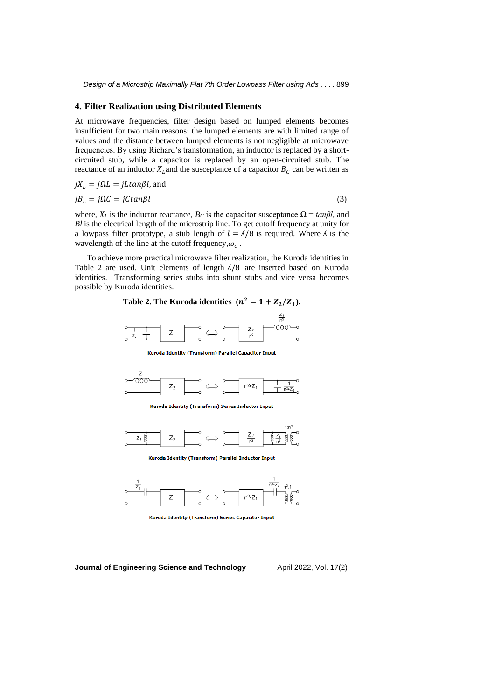#### **4. Filter Realization using Distributed Elements**

At microwave frequencies, filter design based on lumped elements becomes insufficient for two main reasons: the lumped elements are with limited range of values and the distance between lumped elements is not negligible at microwave frequencies. By using Richard's transformation, an inductor is replaced by a shortcircuited stub, while a capacitor is replaced by an open-circuited stub. The reactance of an inductor  $X_L$  and the susceptance of a capacitor  $B_C$  can be written as

$$
jX_L = j\Omega L = jL \tan\beta l, \text{ and}
$$
  

$$
jB_L = j\Omega C = jC \tan\beta l
$$
 (3)

where,  $X_L$  is the inductor reactance,  $B_C$  is the capacitor susceptance  $\Omega = \tan \beta l$ , and *Bl* is the electrical length of the microstrip line. To get cutoff frequency at unity for a lowpass filter prototype, a stub length of  $l = \frac{\lambda}{8}$  is required. Where  $\Lambda$  is the wavelength of the line at the cutoff frequency,  $\omega_c$ .

To achieve more practical microwave filter realization, the Kuroda identities in Table 2 are used. Unit elements of length  $\Lambda/8$  are inserted based on Kuroda identities. Transforming series stubs into shunt stubs and vice versa becomes possible by Kuroda identities.

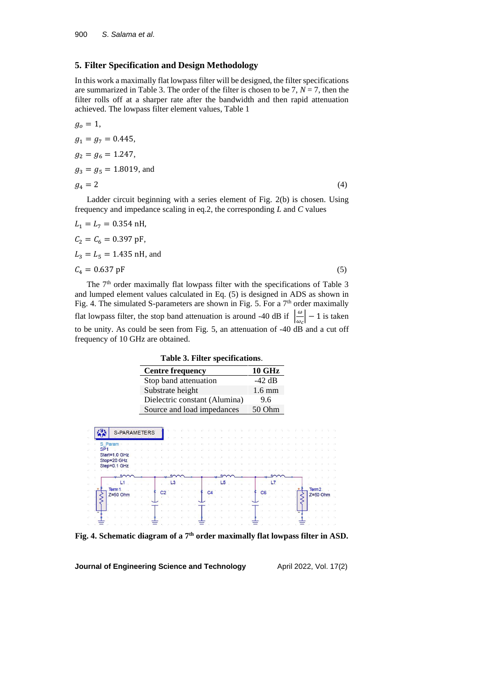# **5. Filter Specification and Design Methodology**

In this work a maximally flat lowpass filter will be designed, the filter specifications are summarized in Table 3. The order of the filter is chosen to be 7,  $N = 7$ , then the filter rolls off at a sharper rate after the bandwidth and then rapid attenuation achieved. The lowpass filter element values, Table 1

$$
g_o = 1,
$$
  
\n
$$
g_1 = g_7 = 0.445,
$$
  
\n
$$
g_2 = g_6 = 1.247,
$$
  
\n
$$
g_3 = g_5 = 1.8019,
$$
 and  
\n
$$
g_4 = 2
$$
\n(4)

Ladder circuit beginning with a series element of Fig. 2(b) is chosen. Using frequency and impedance scaling in eq.2, the corresponding *L* and *C* values

$$
L_1 = L_7 = 0.354 \text{ nH},
$$
  
\n
$$
C_2 = C_6 = 0.397 \text{ pF},
$$
  
\n
$$
L_3 = L_5 = 1.435 \text{ nH, and}
$$
  
\n
$$
C_4 = 0.637 \text{ pF}
$$
  
\nThe 7<sup>th</sup> order maximally flat lowpass filter with the specifications of Table 3

and lumped element values calculated in Eq. (5) is designed in ADS as shown in Fig. 4. The simulated S-parameters are shown in Fig. 5. For a  $7<sup>th</sup>$  order maximally flat lowpass filter, the stop band attenuation is around -40 dB if  $\frac{\omega}{\omega}$  $\frac{\omega}{\omega_c}$  – 1 is taken to be unity. As could be seen from Fig. 5, an attenuation of -40 dB and a cut off frequency of 10 GHz are obtained.

**Table 3. Filter specifications**.

| <b>Centre frequency</b>       | <b>10 GHz</b>    |
|-------------------------------|------------------|
| Stop band attenuation         | $-42$ dB         |
| Substrate height              | $1.6 \text{ mm}$ |
| Dielectric constant (Alumina) | 9.6              |
| Source and load impedances    | $50$ Ohm         |

| S-PARAMETERS    |  |                |                |  |  |                |                |  |  |                |  |  |  |                   |            |  |
|-----------------|--|----------------|----------------|--|--|----------------|----------------|--|--|----------------|--|--|--|-------------------|------------|--|
| S Param         |  |                |                |  |  |                |                |  |  |                |  |  |  |                   |            |  |
| SP <sub>1</sub> |  |                |                |  |  |                |                |  |  |                |  |  |  |                   |            |  |
| Start=1.0 GHz   |  |                |                |  |  |                |                |  |  |                |  |  |  |                   |            |  |
| Stop=20 GHz     |  |                |                |  |  |                |                |  |  |                |  |  |  |                   |            |  |
| Step=0.1 GHz    |  |                |                |  |  |                |                |  |  |                |  |  |  |                   |            |  |
|                 |  |                |                |  |  |                |                |  |  |                |  |  |  |                   |            |  |
|                 |  |                |                |  |  |                |                |  |  |                |  |  |  |                   |            |  |
| L1              |  |                | L <sub>3</sub> |  |  |                | L <sub>5</sub> |  |  |                |  |  |  |                   |            |  |
| Term 1          |  |                |                |  |  |                |                |  |  |                |  |  |  | Term <sub>2</sub> |            |  |
| $Z=50$ Ohm      |  | C <sub>2</sub> |                |  |  | $\overline{c}$ |                |  |  | C <sub>6</sub> |  |  |  |                   | $Z=50$ Ohm |  |
|                 |  |                |                |  |  |                |                |  |  |                |  |  |  |                   |            |  |
|                 |  |                |                |  |  |                |                |  |  |                |  |  |  |                   |            |  |
|                 |  |                |                |  |  |                |                |  |  |                |  |  |  |                   |            |  |
|                 |  |                |                |  |  |                |                |  |  |                |  |  |  |                   |            |  |

**Fig. 4. Schematic diagram of a 7th order maximally flat lowpass filter in ASD.**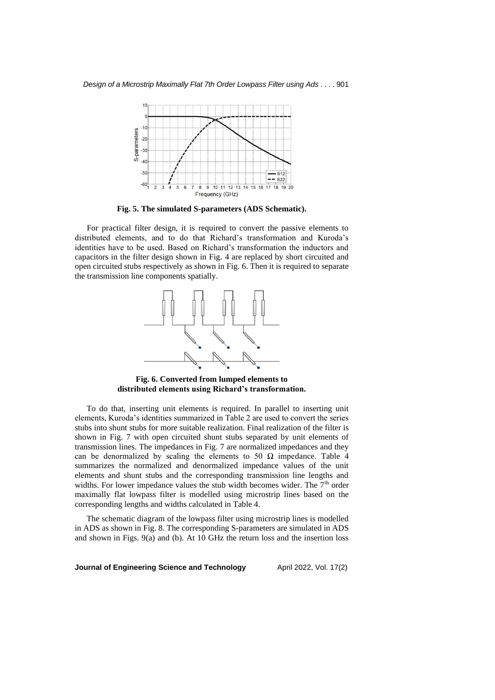

**Fig. 5. The simulated S-parameters (ADS Schematic).**

For practical filter design, it is required to convert the passive elements to distributed elements, and to do that Richard's transformation and Kuroda's identities have to be used. Based on Richard's transformation the inductors and capacitors in the filter design shown in Fig. 4 are replaced by short circuited and open circuited stubs respectively as shown in Fig. 6. Then it is required to separate the transmission line components spatially.



**Fig. 6. Converted from lumped elements to distributed elements using Richard's transformation.**

To do that, inserting unit elements is required. In parallel to inserting unit elements, Kuroda's identities summarized in Table 2 are used to convert the series stubs into shunt stubs for more suitable realization. Final realization of the filter is shown in Fig. 7 with open circuited shunt stubs separated by unit elements of transmission lines. The impedances in Fig. 7 are normalized impedances and they can be denormalized by scaling the elements to 50  $\Omega$  impedance. Table 4 summarizes the normalized and denormalized impedance values of the unit elements and shunt stubs and the corresponding transmission line lengths and widths. For lower impedance values the stub width becomes wider. The  $7<sup>th</sup>$  order maximally flat lowpass filter is modelled using microstrip lines based on the corresponding lengths and widths calculated in Table 4.

The schematic diagram of the lowpass filter using microstrip lines is modelled in ADS as shown in Fig. 8. The corresponding S-parameters are simulated in ADS and shown in Figs. 9(a) and (b). At 10 GHz the return loss and the insertion loss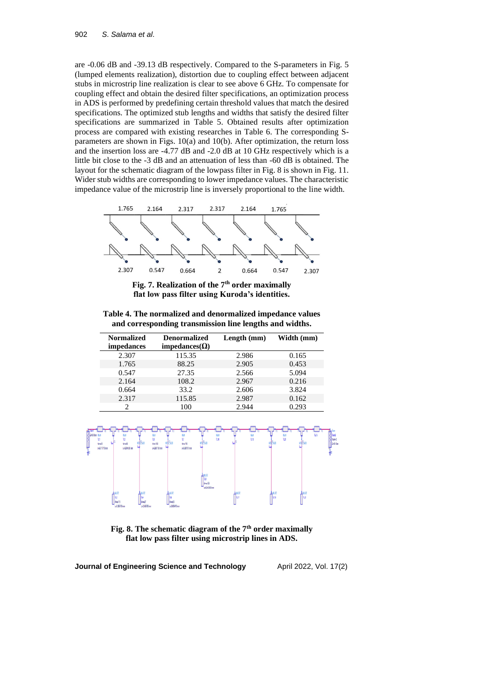are -0.06 dB and -39.13 dB respectively. Compared to the S-parameters in Fig. 5 (lumped elements realization), distortion due to coupling effect between adjacent stubs in microstrip line realization is clear to see above 6 GHz. To compensate for coupling effect and obtain the desired filter specifications, an optimization process in ADS is performed by predefining certain threshold values that match the desired specifications. The optimized stub lengths and widths that satisfy the desired filter specifications are summarized in Table 5. Obtained results after optimization process are compared with existing researches in Table 6. The corresponding Sparameters are shown in Figs. 10(a) and 10(b). After optimization, the return loss and the insertion loss are -4.77 dB and -2.0 dB at 10 GHz respectively which is a little bit close to the -3 dB and an attenuation of less than -60 dB is obtained. The layout for the schematic diagram of the lowpass filter in Fig. 8 is shown in Fig. 11. Wider stub widths are corresponding to lower impedance values. The characteristic impedance value of the microstrip line is inversely proportional to the line width.



**Fig. 7. Realization of the 7th order maximally flat low pass filter using Kuroda's identities.**

**Table 4. The normalized and denormalized impedance values and corresponding transmission line lengths and widths.**

| <b>Normalized</b><br><i>impedances</i> | <b>Denormalized</b><br>impedances( $\Omega$ ) | Length (mm) | Width (mm) |
|----------------------------------------|-----------------------------------------------|-------------|------------|
| 2.307                                  | 115.35                                        | 2.986       | 0.165      |
| 1.765                                  | 88.25                                         | 2.905       | 0.453      |
| 0.547                                  | 27.35                                         | 2.566       | 5.094      |
| 2.164                                  | 108.2                                         | 2.967       | 0.216      |
| 0.664                                  | 33.2                                          | 2.606       | 3.824      |
| 2.317                                  | 115.85                                        | 2.987       | 0.162      |
|                                        | 100                                           | 2.944       | 0.293      |



**Fig. 8. The schematic diagram of the 7th order maximally flat low pass filter using microstrip lines in ADS.**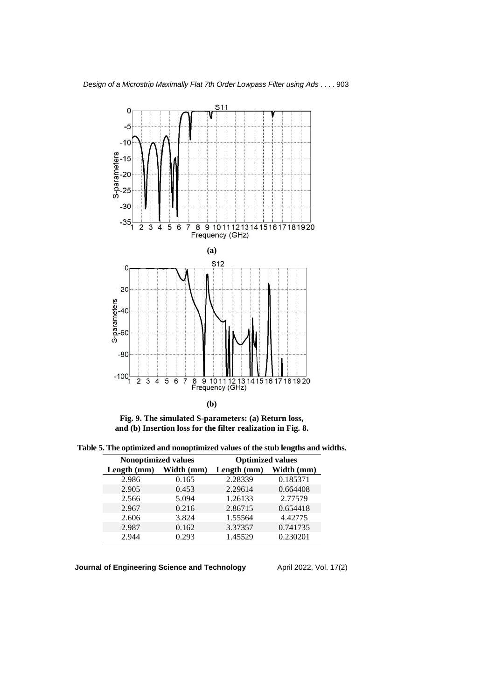

**Fig. 9. The simulated S-parameters: (a) Return loss, and (b) Insertion loss for the filter realization in Fig. 8.**

**Table 5. The optimized and nonoptimized values of the stub lengths and widths.**

| <b>Nonoptimized values</b> |            | <b>Optimized values</b> |            |  |  |  |  |  |
|----------------------------|------------|-------------------------|------------|--|--|--|--|--|
| Length (mm)                | Width (mm) | Length (mm)             | Width (mm) |  |  |  |  |  |
| 2.986                      | 0.165      | 2.28339                 | 0.185371   |  |  |  |  |  |
| 2.905                      | 0.453      | 2.29614                 | 0.664408   |  |  |  |  |  |
| 2.566                      | 5.094      | 1.26133                 | 2.77579    |  |  |  |  |  |
| 2.967                      | 0.216      | 2.86715                 | 0.654418   |  |  |  |  |  |
| 2.606                      | 3.824      | 1.55564                 | 4.42775    |  |  |  |  |  |
| 2.987                      | 0.162      | 3.37357                 | 0.741735   |  |  |  |  |  |
| 2.944                      | 0.293      | 1.45529                 | 0.230201   |  |  |  |  |  |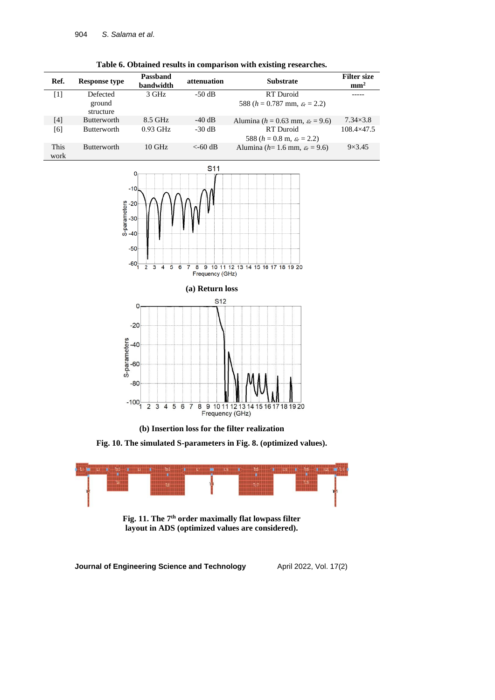|              |                      |                              |             | -                                                |                                       |
|--------------|----------------------|------------------------------|-------------|--------------------------------------------------|---------------------------------------|
| Ref.         | <b>Response type</b> | <b>Passband</b><br>bandwidth | attenuation | <b>Substrate</b>                                 | <b>Filter size</b><br>mm <sup>2</sup> |
| [1]          | Defected             | 3 GHz                        | $-50$ dB    | RT Duroid                                        |                                       |
|              | ground<br>structure  |                              |             | 588 ( $h = 0.787$ mm, $\varepsilon_r = 2.2$ )    |                                       |
| [4]          | <b>Butterworth</b>   | 8.5 GHz                      | $-40$ dB    | Alumina ( $h = 0.63$ mm, $\varepsilon_r = 9.6$ ) | $7.34\times3.8$                       |
| [6]          | <b>Butterworth</b>   | $0.93$ GHz                   | $-30$ dB    | RT Duroid                                        | $108.4\times47.5$                     |
|              |                      |                              |             | 588 ( $h = 0.8$ m, $\varepsilon_r = 2.2$ )       |                                       |
| This<br>work | <b>Butterworth</b>   | $10 \text{ GHz}$             | $<$ -60 dB  | Alumina ( $h=1.6$ mm, $\varepsilon_r = 9.6$ )    | $9\times3.45$                         |

**Table 6. Obtained results in comparison with existing researches.**





**(b) Insertion loss for the filter realization**

**Fig. 10. The simulated S-parameters in Fig. 8. (optimized values).**



**Fig. 11. The 7th order maximally flat lowpass filter layout in ADS (optimized values are considered).**